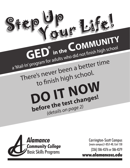



Carrington-Scott Campus (main campus) I-85/I-40, Exit 150 (336) 506-4376 or 506-4379

www.alamancecc.edu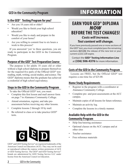# **GED in the Community Program INFORMATION**

#### **Is the GED® Testing Program for you?**

- $\bullet$  Are you 18 years old or older?
- Would you like to finish your high school education?
- Would you like to study and prepare in the comfort of your home?
- Are you willing to commit four to six hours a week to this process?

If you answered 'yes' to these questions, you are ready to participate in the GED in the Community Program.

#### **Purpose of the GED® Test Preparation Course**

The purpose is for adults 18 years old or older without a high school diploma to prepare themselves for the required five parts of the Official GED<sup>®</sup> test: reading, math, writing, social studies, and science. The  $GED^{\otimes}$  diploma means that the graduate has achieved a credential of high school equivalency.

#### **Steps in the GED in the Community Program**

To take the Official GED<sup>®</sup> test, you must:

- Complete this first lesson and mail answer form on page 7 to Alamance Community College.
- Attend orientation, register, and take preassessment before receiving any other lessons.
- Complete lessons 2 through 10 by mail.
- $\cdot$  Be referred to class or to take practice GED<sup>®</sup> tests.



 $\angle$ GED<sup>®</sup> and GED Testing Service<sup>®</sup> are registered trademarks of the American Council on Education (ACE). They may not be used or reproduced without the express written permission of ACE or GED Testing Service. The GED® and GED Testing Service® brands are administered by GED Testing Service LLC under license from the American Council on Education.

### **EARN YOUR GED® DIPLOMA** NOW **BEFORE THE TEST CHANGES!**

#### **Costs will increase. Test content will change.**

If you have previously passed one or more sections of the GED® test, you must complete/pass the remaining sections BEFORE the release of the new test or your current scores will expire.

Contact the **GED® Testing Information Line**  at **(336) 506-4376** for more information.

#### **Costs of the GED in the Community Program**

Lessons are FREE, but the Official  $GED^{\otimes}$  test requires a one-time fee of \$25.00.

#### **Home Study Requirements**

- Register in the program with a coordinator at Alamance Community College.
- Complete pre- and post-assessments at the ACC campus.
- Maintain copies of all lessons for future reference.
- Maintain an activity log.
- Complete the lessons in a timely manner.

#### **Available Help with the GED in the Community Program**

- Help line/tutoring assistance
- Optional classes on the ACC campus and at other sites
- Teacher assistance
- Free reference materials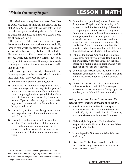#### **GED in the Community Program**

# **LESSON 1 MATH**

The Math test battery has two parts. Part I has 25 questions, takes 45 minutes, and allows the use of the Casio  $fx-260$  calculator. A calculator will be provided for your use during the test. Part II has 25 questions and takes 45 minutes; a calculator is not allowed on Part II.

The purpose of the math test is to have you demonstrate that you can work your way logically through real-world problems. Thus, all questions are word problems; roughly half will include a diagram or graph. Forty questions are multiple choice, while ten alternative format questions have you state your answer. Some questions only require you to set up the solution, not to actually find an answer.

When you approach a word problem, take the following steps to solve it. You should practice these steps until they become habit.

- 1) Read the whole problem carefully, twice.
- 2) Understand the situation in the problem. There are several ways to do this. Try placing yourself in the situation. For example, if the problem is about computing hourly wages, think about how you calculate your own wages. Try drawing a picture. If you learn best through pictures, making a visual representation of the problem can help you understand it.
- 3) Locate the question. It usually appears at the end with a question mark, but sometimes it starts with, "Find the...".
- 4) Locate the numbers you need to answer the question. You might not need all the numbers given in the problem. Some numbers might appear as words, or you might be expected to know a number (like the number of months in a year).
- 5) Determine the operation(s) you need to answer the question. Keep in mind the meaning of the operations: Addition is combining. Subtraction is comparing two numbers or removing some from a starting number. Multiplication combines many groups or finds the total given a price or weight per item. Division involves sharing or splitting into equal groups or amounts. Key words (like "total") sometimes point out the operation. Many times, you'll need to determine the operation by the situation in the problem.
- 6) Estimate the answer. Use rounding to make a guess at the size of your answer. Don't skip this important step. It can help you select the right choice on a multiple-choice question, and it can help you check your exact answer.
- 7) Compute your answer using the numbers and operation you already selected. Include the units in your answer (is it dollars, people, pounds,  $etc.?)$ .
- 8) Check your answer. Is it close to your estimate? Is it reasonable and realistic? (For example, \$520.00 is not reasonable for a family trip to the movies; you can't hire 1.8 buses for a trip).

#### Write your answer for each question on the answer form (located on inside back cover).

- 1. Faye is placing donated books on display for a League benefit sale. She empties boxes that contain 32, 17, 35, 22, and 27 books. How many books did she remove from these five boxes?
- 2. Blake weighs 54 pounds. His little brother weighs 39 pounds. How much more does Blake weigh than his brother?
- 3. Nicola is paid \$1700 monthly. What is his annual salary?
- 4. Lisa cuts a 12-foot board into shelves that are each two feet long. How many shelves can she make from one board?

 $\overline{3}$ 

<sup>© 2003</sup> This lesson is owned and all rights are reserved for and by Alamance Community College. Copies of this lesson may not be made without written permission from Alamance Community College Literacy Department.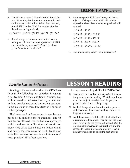#### **LESSON 1 MATH** continued

- 5. The Nixons made a 6-day trip to the Grand Canyon. When they left home, the odometer in their car indicated 52943 miles. When they returned, it read 53871 miles. Find the number of miles they drove during their trip.
	- $(1)$  106812  $(2)$  928  $(3)$  568  $(4)$  171  $(5)$  154.7
- 6. Shondra buys a bedroom suite on the installment plan. She makes a down payment of \$200 and monthly payments of \$52 each for three years. What is her total cost?
- 7. Francine spends \$6.95 on a book, and the tax is \$0.42. If she pays with a \$20 bill, which expression shows how much change she should receive?
	- $(1)$  \$6.95 + \$0.42
	- $(2)$  \$6.95 + \$0.42 + \$20.00
	- $(3)$  \$6.95 + \$0.42 \$20.00
	- $(4)$  \$20.00 \$6.95 + \$0.42
	- $(5)$  \$20.00  $(\$6.95 + \$0.42)$
- 8. How much change does Francine receive?

#### **GED in the Community Program**

Reading skills are evaluated on the GED Tests through the following test batteries: Language Arts Reading, Science, and Social Studies. You will be asked to understand what you read and to draw conclusions based on reading passages. Some questions on these three tests will be based on two passages.

The Language Arts Reading test battery is composed of 40 multiple-choice questions, and 65 minutes are allowed. The test has seven passages which are drawn from literature and non-fiction prose. 45% of the test is based on fiction; drama and poetry together make up 30%. Nonfiction texts, like business documents and informational texts, provide 25% of test questions.

### **LESSON 1 READING**

An important reading skill is PREVIEWING.

- 1) Look at the title, author, and any other information given about the reading. What do you know about the subject already? Read the purpose question printed above the passage.
- 2) Read all the questions that refer to the passage so that you will focus your reading. Don't read the possible answers.
- 3) Read the passage carefully. Don't take the time to read it more than once. Then answer the questions, referring to the passage if needed. Use the line numbers provided in the questions and the passage to locate information quickly. Read all the answer choices, to select the best answer.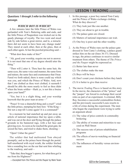### **LESSON 1 READING continued**

#### Questions 1 through 3 refer to the following passage.

#### **WHICH BOY IS WHICH?**

A few minutes later the little Prince of Wales was garlanded with Tom's fluttering odds and ends, and the little Prince of Pauperdom was tricked out in the gaudy plumage of royalty. The two went and stood side by side before a great mirror, and lo, a miracle: there did not seem to have been any change made! They stared at each other, then at the glass, then at each other again. At last the puzzled princeling said-

"What dost thou make of this?"

10 "Ah, good your worship, require me not to answer. It is not meet that one of my degree should utter the thing."

"Then will I utter it. Thou hast the same hair, the same eyes, the same voice and manner, the same form and stature, the same face and countenance that I bear. Fared we forth naked, there is none could say which was you, and which the Prince of Wales. And. now that I am clothed as thou wert clothed, it seemeth I should be able the more nearly to feel as thou didst  $20$  when the brute soldier—Hark ye, is not this a bruise upon your hand?"

"Yes; but it is a slight thing, and your worship knoweth that the poor man-at-arms-"

"Peace! It was a shameful thing and a cruel!" cried the little prince, stamping his bare foot. "If the King— Stir not a step till I come again! It is a command!"

In a moment he had snatched up and put away an article of national importance that lay upon a table, and was out at the door and flying through the palace <sup>30</sup> grounds in his bannered rags, with a hot face and glowing eyes. As soon as he reached the great gate, he seized the bars, and tried to shake them, shouting-

"Open! Unbar the gates!"

The soldier that had maltreated Tom obeyed promptly; and as the prince burst through the portal, half-smothered with royal wrath, the soldier fetched him a sounding box on the ear that sent him whirling to the roadway, and said-

"Take that, thou beggar's spawn, for what thou got'st me from his Highness!"

-Excerpted from The Prince and the Pauper by Mark Twain

- 1. In this passage, a poor boy named Tom Canty and the Prince of Wales exchange clothing. What do they discover?
	- (1) They look just like one another.
	- (2) They are about to get in trouble.
	- (3) The palace gates are closed.
	- (4) Matters of national importance can wait.
	- (5) One boy is poor and the other wealthy.
- 2. As the Prince of Wales runs out the palace gate dressed in Tom Canty's clothing, a palace guard strikes him on the ear (lines 36-37). Dressed in rags, the prince continues to receive similar treatment from others. The theme of The Prince and the Pauper might be expressed as:
	- (1) Better late than never
	- (2) The clothes make the man
	- (3) Boys will be boys
	- (4) Don't count your chickens before they hatch
	- (5) It is better to give than receive
- 3. The movie *Trading Places* is based on this story. In the movie, the characters of the "prince" and the "pauper" are forced to exchange their social roles as part of an experiment. A criminal, Billy Ray, becomes a successful commodities broker, and the previously successful Louis resorts to a life of crime during the experiment. The men who began the experiment were trying to settle an argument about:
	- (1) The value of price controls in commodity brokering
	- (2) The ability of women and minorities to succeed on Wall Street
	- (3) The success rate of prison rehabilitation programs
	- (4) The effects of movie-watching on financial success
	- (5) The influences of heredity versus environment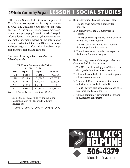## **GED in the Community Program** LESSON 1 SOCIAL STUDIES

The Social Studies test battery is comprised of 50 multiple-choice questions. Seventy minutes are allowed. The questions cover material on world history, U.S. history, civics and government, economics, and geography. You will be asked to apply information to a new problem, draw conclusions, and make judgments based on the information presented. About half the Social Studies questions are based on graphic information like tables, maps, graphs, photographs, and cartoons.

#### **Questions 1 through 3 are based on the following table:**

| In millions of dollars |                |                |                |  |  |  |
|------------------------|----------------|----------------|----------------|--|--|--|
| Year                   | <b>Exports</b> | <b>Imports</b> | <b>Balance</b> |  |  |  |
| 1998                   | 14,241.3       | 71,168.7       | $-56,927.4$    |  |  |  |
| 1999                   | 13,111.0       | 81,788.2       | $-68,677.2$    |  |  |  |
| 2000                   | 16,185.3       | 100,018.4      | $-83,833.1$    |  |  |  |
| 2001                   | 19,182.3       | 102,278.3      | $-83,096.0$    |  |  |  |
| 2002                   | 22,052.7       | 125,167.9      | $-103, 115.2$  |  |  |  |

#### **US Trade Balance with China**

*Source: US Census Bureau, Foreign Trade Division*

- 1. During the period covered by the table, the smallest amount of US exports to China occurred in:
	- $(1)$  1998  $(2)$  1999  $(3)$  2000  $(4)$  2001  $(5)$  2002
- 2. The negative trade balance for a year means:
	- $(1)$  The US owes money to a country for imports.
	- $(2)$  A country owes the US money for its exports.
	- $(3)$  The US buys more products from a country than it sells to that country.
	- $(4)$  The US sells more products to a country than it buys from that country.
	- $(5)$  There is some error in either the export or the import figure for that year.
- 3. The increasing amount of the negative balance of trade with China implies that:
	- $(1)$  The US relies increasingly on China to produce goods American consumers want.
	- $(2)$  China relies on the US to provide the goods Chinese consumers want.
	- $(3)$  Trade with China is increasing the number of factory jobs available in the US
	- (4) The US government should require China to buy more goods from the US.
	- $(5)$  China's communist government is influencing American consumers.

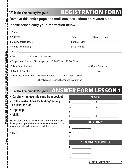|                               |                                                                                                                                                                                                                                |                            | <b>REGISTRATION FORM</b> |  |  |  |
|-------------------------------|--------------------------------------------------------------------------------------------------------------------------------------------------------------------------------------------------------------------------------|----------------------------|--------------------------|--|--|--|
|                               | <b>GED in the Community Program</b>                                                                                                                                                                                            |                            |                          |  |  |  |
| $\frac{1}{2}$                 | Remove this entire page and mail-see instructions on reverse side.                                                                                                                                                             |                            |                          |  |  |  |
|                               | Please print clearly your information below.                                                                                                                                                                                   |                            |                          |  |  |  |
|                               |                                                                                                                                                                                                                                |                            |                          |  |  |  |
|                               |                                                                                                                                                                                                                                |                            |                          |  |  |  |
| for mailing on reverse side.  |                                                                                                                                                                                                                                |                            |                          |  |  |  |
|                               |                                                                                                                                                                                                                                |                            |                          |  |  |  |
|                               |                                                                                                                                                                                                                                |                            |                          |  |  |  |
|                               | 8. Sex □ Male<br>$\square$ Female                                                                                                                                                                                              |                            |                          |  |  |  |
|                               | 9. Employment Status $\Box$ Unemployed $\Box$ Full Time $\Box$ Part Time                                                                                                                                                       |                            |                          |  |  |  |
|                               |                                                                                                                                                                                                                                |                            |                          |  |  |  |
|                               |                                                                                                                                                                                                                                |                            |                          |  |  |  |
|                               | 12. I am also interested in: $\Box$ Online Program $\Box$ Traditional Classes                                                                                                                                                  |                            |                          |  |  |  |
|                               |                                                                                                                                                                                                                                |                            |                          |  |  |  |
|                               | □ English as a Second Language Information                                                                                                                                                                                     |                            |                          |  |  |  |
|                               |                                                                                                                                                                                                                                |                            |                          |  |  |  |
|                               | GED in the Community Program ANSWER FORM LESSON 1                                                                                                                                                                              |                            |                          |  |  |  |
| low instructions              | Carefully remove this page from booklet.<br>$\bullet$                                                                                                                                                                          |                            |                          |  |  |  |
|                               | • Follow instructions for folding/mailing                                                                                                                                                                                      |                            | <b>MATH</b>              |  |  |  |
|                               | on reverse side.                                                                                                                                                                                                               | 2. $\qquad \qquad$         | 5.<br>6.                 |  |  |  |
|                               | • Tape flap.                                                                                                                                                                                                                   |                            |                          |  |  |  |
|                               | • Mail.                                                                                                                                                                                                                        | 4. $\qquad \qquad$         | 7. $\qquad \qquad$<br>8. |  |  |  |
|                               | We will correct your answers and return them to you.                                                                                                                                                                           |                            |                          |  |  |  |
| Cut along dotted line and fol | Save your copy of the lesson for reference. Some<br>lesson material will be needed in later lessons.                                                                                                                           |                            | READING                  |  |  |  |
|                               |                                                                                                                                                                                                                                | 1. <u>___________</u>      |                          |  |  |  |
|                               | NAME And the state of the state of the state of the state of the state of the state of the state of the state of the state of the state of the state of the state of the state of the state of the state of the state of the s | 2. $\qquad$                |                          |  |  |  |
|                               |                                                                                                                                                                                                                                | 3.                         |                          |  |  |  |
|                               |                                                                                                                                                                                                                                |                            | <b>SOCIAL STUDIES</b>    |  |  |  |
|                               |                                                                                                                                                                                                                                | 1. <u>________________</u> |                          |  |  |  |
|                               |                                                                                                                                                                                                                                | 2.<br>3.                   |                          |  |  |  |

İ

GED in the Community **7**